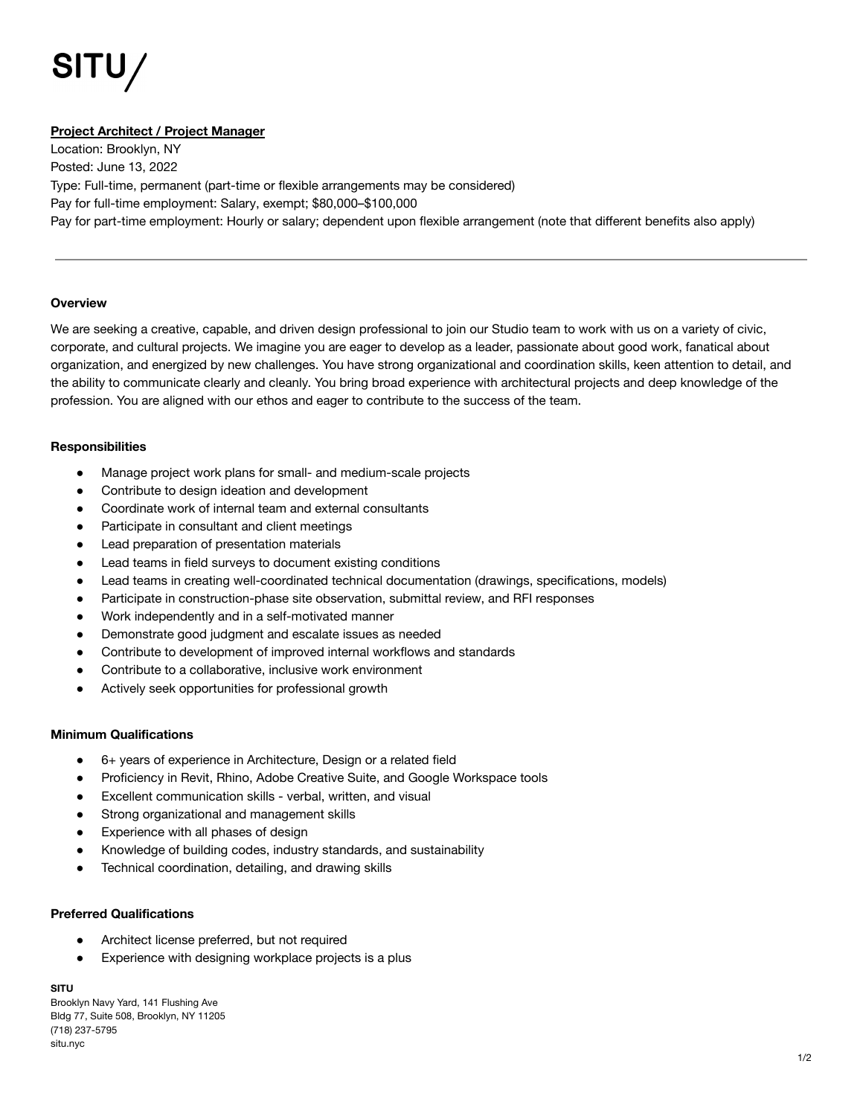# **SITU/**

# **Project Architect / Project Manager**

Location: Brooklyn, NY Posted: June 13, 2022 Type: Full-time, permanent (part-time or flexible arrangements may be considered) Pay for full-time employment: Salary, exempt; \$80,000–\$100,000 Pay for part-time employment: Hourly or salary; dependent upon flexible arrangement (note that different benefits also apply)

# **Overview**

We are seeking a creative, capable, and driven design professional to join our Studio team to work with us on a variety of civic, corporate, and cultural projects. We imagine you are eager to develop as a leader, passionate about good work, fanatical about organization, and energized by new challenges. You have strong organizational and coordination skills, keen attention to detail, and the ability to communicate clearly and cleanly. You bring broad experience with architectural projects and deep knowledge of the profession. You are aligned with our ethos and eager to contribute to the success of the team.

# **Responsibilities**

- Manage project work plans for small- and medium-scale projects
- Contribute to design ideation and development
- Coordinate work of internal team and external consultants
- Participate in consultant and client meetings
- Lead preparation of presentation materials
- Lead teams in field surveys to document existing conditions
- Lead teams in creating well-coordinated technical documentation (drawings, specifications, models)
- Participate in construction-phase site observation, submittal review, and RFI responses
- Work independently and in a self-motivated manner
- Demonstrate good judgment and escalate issues as needed
- Contribute to development of improved internal workflows and standards
- Contribute to a collaborative, inclusive work environment
- Actively seek opportunities for professional growth

### **Minimum Qualifications**

- 6+ years of experience in Architecture, Design or a related field
- Proficiency in Revit, Rhino, Adobe Creative Suite, and Google Workspace tools
- Excellent communication skills verbal, written, and visual
- Strong organizational and management skills
- Experience with all phases of design
- Knowledge of building codes, industry standards, and sustainability
- Technical coordination, detailing, and drawing skills

# **Preferred Qualifications**

- Architect license preferred, but not required
- Experience with designing workplace projects is a plus

### **SITU**

Brooklyn Navy Yard, 141 Flushing Ave Bldg 77, Suite 508, Brooklyn, NY 11205 (718) 237-5795 situ.nyc